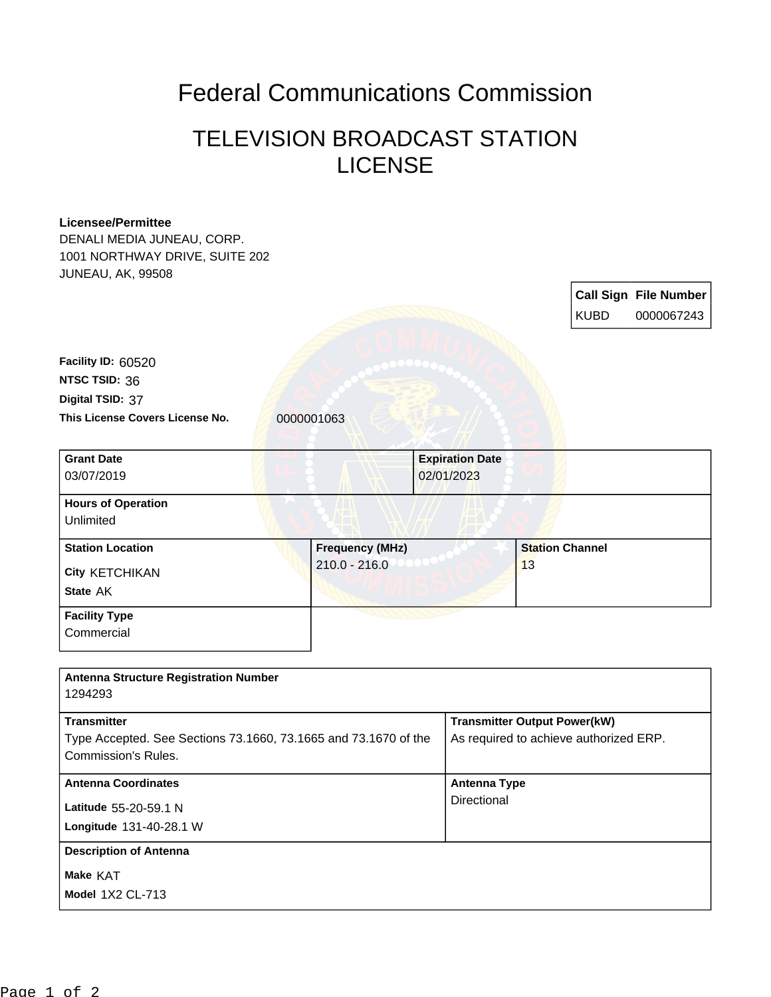## Federal Communications Commission

## TELEVISION BROADCAST STATION **LICENSE**

## **Licensee/Permittee**

DENALI MEDIA JUNEAU, CORP. 1001 NORTHWAY DRIVE, SUITE 202 JUNEAU, AK, 99508

> **Call Sign File Number** KUBD 0000067243

This License Covers License No. **0000001063 Digital TSID:** 37 **NTSC TSID:** 36 **Facility ID:** 60520

| <b>Grant Date</b>         |                        | <b>Expiration Date</b> |  |
|---------------------------|------------------------|------------------------|--|
| 03/07/2019                |                        | 02/01/2023             |  |
| <b>Hours of Operation</b> |                        |                        |  |
| Unlimited                 |                        |                        |  |
| <b>Station Location</b>   | <b>Frequency (MHz)</b> | <b>Station Channel</b> |  |
| City KETCHIKAN            | $210.0 - 216.0$        | 13                     |  |
| State AK                  |                        |                        |  |

**Facility Type**

**Commercial** 

| <b>Antenna Structure Registration Number</b><br>1294293                                                      |                                                                               |
|--------------------------------------------------------------------------------------------------------------|-------------------------------------------------------------------------------|
| <b>Transmitter</b><br>Type Accepted. See Sections 73.1660, 73.1665 and 73.1670 of the<br>Commission's Rules. | <b>Transmitter Output Power(kW)</b><br>As required to achieve authorized ERP. |
| <b>Antenna Coordinates</b><br>Latitude 55-20-59.1 N<br>Longitude 131-40-28.1 W                               | <b>Antenna Type</b><br>Directional                                            |
| <b>Description of Antenna</b><br><b>Make KAT</b><br><b>Model 1X2 CL-713</b>                                  |                                                                               |